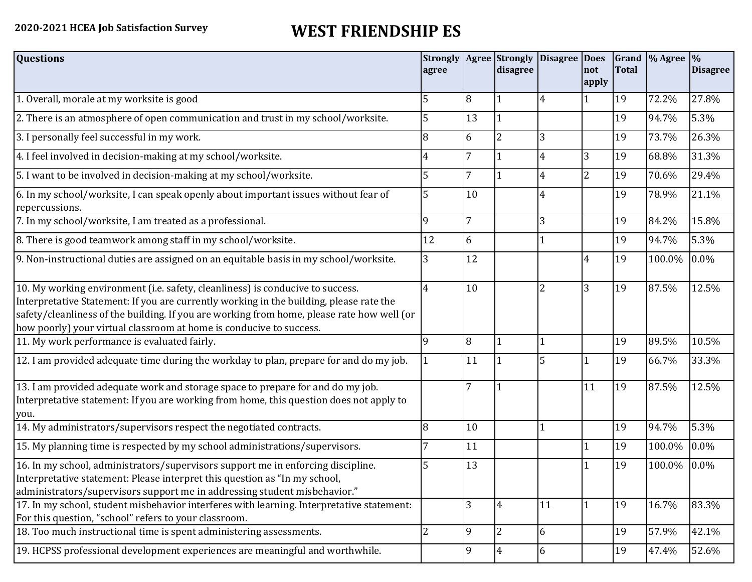## **2020-2021 HCEA Job Satisfaction Survey WEST FRIENDSHIP ES**

| <b>Questions</b>                                                                                                                                                                                                                                                                                                                               | agree          |                | disagree       | Strongly   Agree   Strongly   Disagree   Does | not            | <b>Total</b> | Grand  % Agree  % | <b>Disagree</b> |
|------------------------------------------------------------------------------------------------------------------------------------------------------------------------------------------------------------------------------------------------------------------------------------------------------------------------------------------------|----------------|----------------|----------------|-----------------------------------------------|----------------|--------------|-------------------|-----------------|
|                                                                                                                                                                                                                                                                                                                                                |                |                |                |                                               | apply          |              |                   |                 |
| 1. Overall, morale at my worksite is good                                                                                                                                                                                                                                                                                                      | 5              | 8              |                | 4                                             |                | 19           | 72.2%             | 27.8%           |
| 2. There is an atmosphere of open communication and trust in my school/worksite.                                                                                                                                                                                                                                                               | 5              | 13             | l 1            |                                               |                | 19           | 94.7%             | 5.3%            |
| 3. I personally feel successful in my work.                                                                                                                                                                                                                                                                                                    | 8              | 6              | $\overline{2}$ | 3                                             |                | 19           | 73.7%             | 26.3%           |
| 4. I feel involved in decision-making at my school/worksite.                                                                                                                                                                                                                                                                                   | 4              | 7              | $\vert$ 1      | 4                                             | 3              | 19           | 68.8%             | 31.3%           |
| 5. I want to be involved in decision-making at my school/worksite.                                                                                                                                                                                                                                                                             | 5              | $\overline{7}$ | $\mathbf{1}$   | 4                                             | $\overline{2}$ | 19           | 70.6%             | 29.4%           |
| 6. In my school/worksite, I can speak openly about important issues without fear of<br>repercussions.                                                                                                                                                                                                                                          | 5              | 10             |                | 4                                             |                | 19           | 78.9%             | 21.1%           |
| 7. In my school/worksite, I am treated as a professional.                                                                                                                                                                                                                                                                                      | 9              | 7              |                | 3                                             |                | 19           | 84.2%             | 15.8%           |
| 8. There is good teamwork among staff in my school/worksite.                                                                                                                                                                                                                                                                                   | 12             | 6              |                |                                               |                | 19           | 94.7%             | 5.3%            |
| 9. Non-instructional duties are assigned on an equitable basis in my school/worksite.                                                                                                                                                                                                                                                          | 3              | 12             |                |                                               | 4              | 19           | 100.0%            | $0.0\%$         |
| 10. My working environment (i.e. safety, cleanliness) is conducive to success.<br>Interpretative Statement: If you are currently working in the building, please rate the<br>safety/cleanliness of the building. If you are working from home, please rate how well (or<br>how poorly) your virtual classroom at home is conducive to success. | 4              | 10             |                | $\overline{2}$                                | 3              | 19           | 87.5%             | 12.5%           |
| 11. My work performance is evaluated fairly.                                                                                                                                                                                                                                                                                                   | 9              | 8              | $\vert$ 1      |                                               |                | 19           | 89.5%             | 10.5%           |
| 12. I am provided adequate time during the workday to plan, prepare for and do my job.                                                                                                                                                                                                                                                         |                | 11             |                | 5                                             |                | 19           | 66.7%             | 33.3%           |
| 13. I am provided adequate work and storage space to prepare for and do my job.<br>Interpretative statement: If you are working from home, this question does not apply to<br>you.                                                                                                                                                             |                | 7              |                |                                               | 11             | 19           | 87.5%             | 12.5%           |
| 14. My administrators/supervisors respect the negotiated contracts.                                                                                                                                                                                                                                                                            | 8              | 10             |                | 1                                             |                | 19           | 94.7%             | 5.3%            |
| 15. My planning time is respected by my school administrations/supervisors.                                                                                                                                                                                                                                                                    |                | 11             |                |                                               |                | 19           | 100.0%            | 0.0%            |
| 16. In my school, administrators/supervisors support me in enforcing discipline.<br>Interpretative statement: Please interpret this question as "In my school,<br>administrators/supervisors support me in addressing student misbehavior."                                                                                                    | 5              | 13             |                |                                               |                | 19           | 100.0%            | 0.0%            |
| 17. In my school, student misbehavior interferes with learning. Interpretative statement:<br>For this question, "school" refers to your classroom.                                                                                                                                                                                             |                | 3              | 4              | 11                                            | 1              | 19           | 16.7%             | 83.3%           |
| 18. Too much instructional time is spent administering assessments.                                                                                                                                                                                                                                                                            | $\overline{2}$ | 9              | $\overline{2}$ | 6                                             |                | 19           | 57.9%             | 42.1%           |
| 19. HCPSS professional development experiences are meaningful and worthwhile.                                                                                                                                                                                                                                                                  |                | 9              | $\overline{4}$ | 6                                             |                | 19           | 47.4%             | 52.6%           |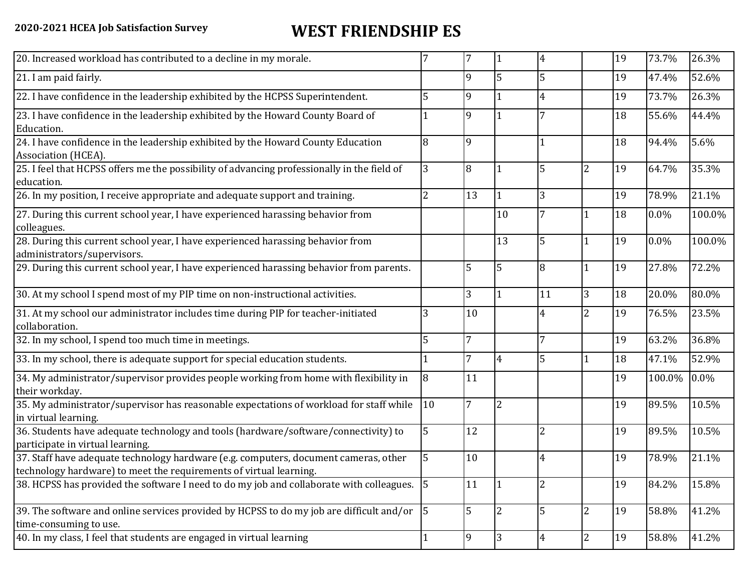## **2020-2021 HCEA Job Satisfaction Survey WEST FRIENDSHIP ES**

| 20. Increased workload has contributed to a decline in my morale.                                                                                          |                |                |                | 4              |                | 19 | 73.7%   | 26.3%  |
|------------------------------------------------------------------------------------------------------------------------------------------------------------|----------------|----------------|----------------|----------------|----------------|----|---------|--------|
| 21. I am paid fairly.                                                                                                                                      |                | 9              | 5              | 5              |                | 19 | 47.4%   | 52.6%  |
| 22. I have confidence in the leadership exhibited by the HCPSS Superintendent.                                                                             | 5              | 9              |                | $\overline{4}$ |                | 19 | 73.7%   | 26.3%  |
| 23. I have confidence in the leadership exhibited by the Howard County Board of<br>Education.                                                              |                | 9              |                |                |                | 18 | 55.6%   | 44.4%  |
| 24. I have confidence in the leadership exhibited by the Howard County Education<br>Association (HCEA).                                                    | 8              | 9              |                |                |                | 18 | 94.4%   | 5.6%   |
| 25. I feel that HCPSS offers me the possibility of advancing professionally in the field of<br>education.                                                  | 3              | 8              |                | 5              | 2              | 19 | 64.7%   | 35.3%  |
| 26. In my position, I receive appropriate and adequate support and training.                                                                               | 2              | 13             |                | 3              |                | 19 | 78.9%   | 21.1%  |
| 27. During this current school year, I have experienced harassing behavior from<br>colleagues.                                                             |                |                | 10             | 7              |                | 18 | $0.0\%$ | 100.0% |
| 28. During this current school year, I have experienced harassing behavior from<br>administrators/supervisors.                                             |                |                | 13             | 5              |                | 19 | 0.0%    | 100.0% |
| 29. During this current school year, I have experienced harassing behavior from parents.                                                                   |                | 5              | 5              | 8              |                | 19 | 27.8%   | 72.2%  |
| 30. At my school I spend most of my PIP time on non-instructional activities.                                                                              |                | 3              |                | 11             | 3              | 18 | 20.0%   | 80.0%  |
| 31. At my school our administrator includes time during PIP for teacher-initiated<br>collaboration.                                                        | 3              | 10             |                | 4              | $\overline{2}$ | 19 | 76.5%   | 23.5%  |
| 32. In my school, I spend too much time in meetings.                                                                                                       | 5              | $\overline{7}$ |                | 7              |                | 19 | 63.2%   | 36.8%  |
| 33. In my school, there is adequate support for special education students.                                                                                |                | 7              | 4              | 5              |                | 18 | 47.1%   | 52.9%  |
| 34. My administrator/supervisor provides people working from home with flexibility in<br>their workday.                                                    | 8              | 11             |                |                |                | 19 | 100.0%  | 0.0%   |
| 35. My administrator/supervisor has reasonable expectations of workload for staff while<br>in virtual learning.                                            | 10             | $\overline{7}$ | $\overline{2}$ |                |                | 19 | 89.5%   | 10.5%  |
| 36. Students have adequate technology and tools (hardware/software/connectivity) to<br>participate in virtual learning.                                    | 5              | 12             |                | $\overline{2}$ |                | 19 | 89.5%   | 10.5%  |
| 37. Staff have adequate technology hardware (e.g. computers, document cameras, other<br>technology hardware) to meet the requirements of virtual learning. | 5              | 10             |                | $\overline{4}$ |                | 19 | 78.9%   | 21.1%  |
| 38. HCPSS has provided the software I need to do my job and collaborate with colleagues. 5                                                                 |                | 11             |                | $\overline{2}$ |                | 19 | 84.2%   | 15.8%  |
| 39. The software and online services provided by HCPSS to do my job are difficult and/or<br>time-consuming to use.                                         | $\overline{5}$ | 5              | $\overline{2}$ | 5              | $\overline{2}$ | 19 | 58.8%   | 41.2%  |
| 40. In my class, I feel that students are engaged in virtual learning                                                                                      |                | 9              | 3              | $\overline{4}$ | 2              | 19 | 58.8%   | 41.2%  |